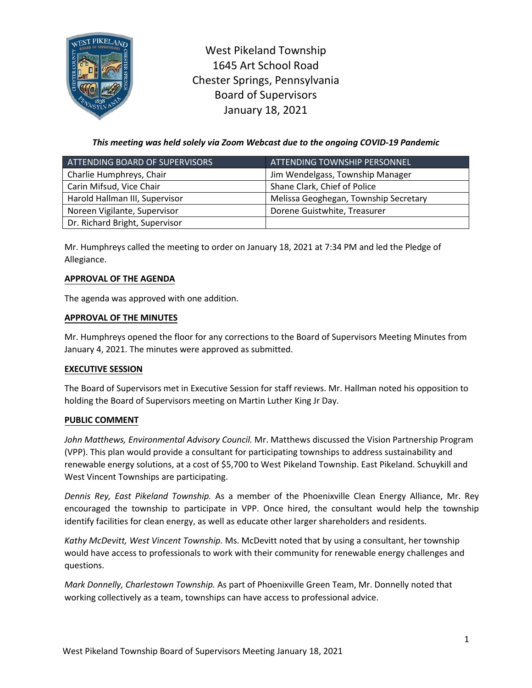

West Pikeland Township 1645 Art School Road Chester Springs, Pennsylvania Board of Supervisors January 18, 2021

*This meeting was held solely via Zoom Webcast due to the ongoing COVID-19 Pandemic*

| ATTENDING BOARD OF SUPERVISORS | ATTENDING TOWNSHIP PERSONNEL          |
|--------------------------------|---------------------------------------|
| Charlie Humphreys, Chair       | Jim Wendelgass, Township Manager      |
| Carin Mifsud, Vice Chair       | Shane Clark, Chief of Police          |
| Harold Hallman III, Supervisor | Melissa Geoghegan, Township Secretary |
| Noreen Vigilante, Supervisor   | Dorene Guistwhite, Treasurer          |
| Dr. Richard Bright, Supervisor |                                       |

Mr. Humphreys called the meeting to order on January 18, 2021 at 7:34 PM and led the Pledge of Allegiance.

# **APPROVAL OF THE AGENDA**

The agenda was approved with one addition.

## **APPROVAL OF THE MINUTES**

Mr. Humphreys opened the floor for any corrections to the Board of Supervisors Meeting Minutes from January 4, 2021. The minutes were approved as submitted.

## **EXECUTIVE SESSION**

The Board of Supervisors met in Executive Session for staff reviews. Mr. Hallman noted his opposition to holding the Board of Supervisors meeting on Martin Luther King Jr Day.

## **PUBLIC COMMENT**

*John Matthews, Environmental Advisory Council.* Mr. Matthews discussed the Vision Partnership Program (VPP). This plan would provide a consultant for participating townships to address sustainability and renewable energy solutions, at a cost of \$5,700 to West Pikeland Township. East Pikeland. Schuykill and West Vincent Townships are participating.

*Dennis Rey, East Pikeland Township.* As a member of the Phoenixville Clean Energy Alliance, Mr. Rey encouraged the township to participate in VPP. Once hired, the consultant would help the township identify facilities for clean energy, as well as educate other larger shareholders and residents.

*Kathy McDevitt, West Vincent Township.* Ms. McDevitt noted that by using a consultant, her township would have access to professionals to work with their community for renewable energy challenges and questions.

*Mark Donnelly, Charlestown Township.* As part of Phoenixville Green Team, Mr. Donnelly noted that working collectively as a team, townships can have access to professional advice.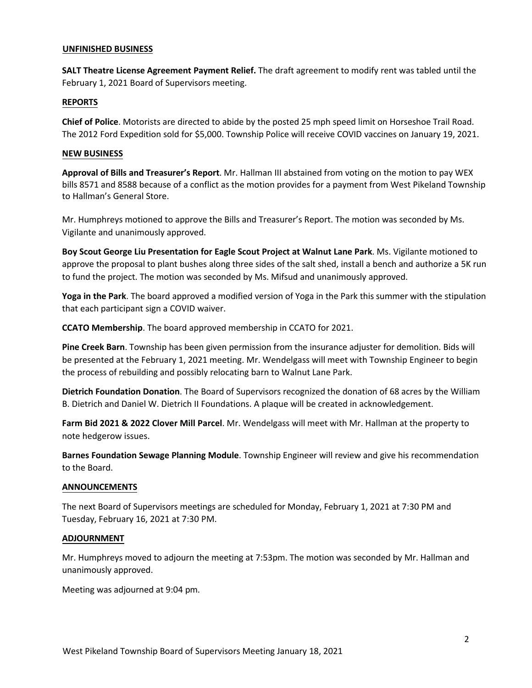#### **UNFINISHED BUSINESS**

**SALT Theatre License Agreement Payment Relief.** The draft agreement to modify rent was tabled until the February 1, 2021 Board of Supervisors meeting.

### **REPORTS**

**Chief of Police**. Motorists are directed to abide by the posted 25 mph speed limit on Horseshoe Trail Road. The 2012 Ford Expedition sold for \$5,000. Township Police will receive COVID vaccines on January 19, 2021.

#### **NEW BUSINESS**

**Approval of Bills and Treasurer's Report**. Mr. Hallman III abstained from voting on the motion to pay WEX bills 8571 and 8588 because of a conflict as the motion provides for a payment from West Pikeland Township to Hallman's General Store.

Mr. Humphreys motioned to approve the Bills and Treasurer's Report. The motion was seconded by Ms. Vigilante and unanimously approved.

**Boy Scout George Liu Presentation for Eagle Scout Project at Walnut Lane Park**. Ms. Vigilante motioned to approve the proposal to plant bushes along three sides of the salt shed, install a bench and authorize a 5K run to fund the project. The motion was seconded by Ms. Mifsud and unanimously approved.

**Yoga in the Park**. The board approved a modified version of Yoga in the Park this summer with the stipulation that each participant sign a COVID waiver.

**CCATO Membership**. The board approved membership in CCATO for 2021.

**Pine Creek Barn**. Township has been given permission from the insurance adjuster for demolition. Bids will be presented at the February 1, 2021 meeting. Mr. Wendelgass will meet with Township Engineer to begin the process of rebuilding and possibly relocating barn to Walnut Lane Park.

**Dietrich Foundation Donation**. The Board of Supervisors recognized the donation of 68 acres by the William B. Dietrich and Daniel W. Dietrich II Foundations. A plaque will be created in acknowledgement.

**Farm Bid 2021 & 2022 Clover Mill Parcel**. Mr. Wendelgass will meet with Mr. Hallman at the property to note hedgerow issues.

**Barnes Foundation Sewage Planning Module**. Township Engineer will review and give his recommendation to the Board.

#### **ANNOUNCEMENTS**

The next Board of Supervisors meetings are scheduled for Monday, February 1, 2021 at 7:30 PM and Tuesday, February 16, 2021 at 7:30 PM.

#### **ADJOURNMENT**

Mr. Humphreys moved to adjourn the meeting at 7:53pm. The motion was seconded by Mr. Hallman and unanimously approved.

Meeting was adjourned at 9:04 pm.